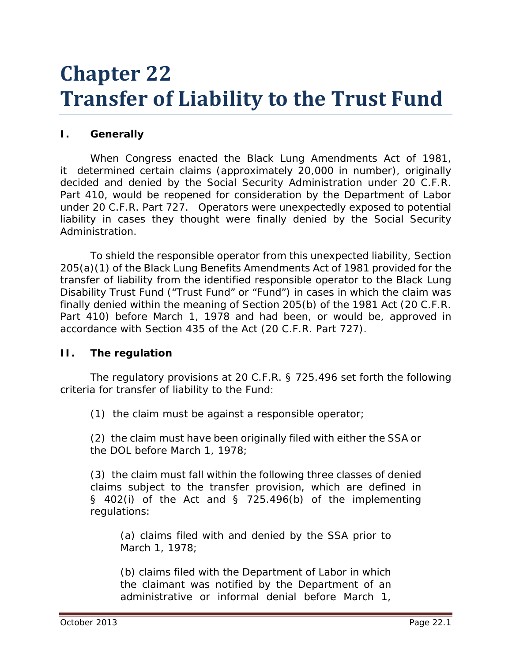# **Chapter 22 Transfer of Liability to the Trust Fund**

## **I. Generally**

When Congress enacted the Black Lung Amendments Act of 1981, it determined certain claims (approximately 20,000 in number), originally decided and denied by the Social Security Administration under 20 C.F.R. Part 410, would be reopened for consideration by the Department of Labor under 20 C.F.R. Part 727. Operators were unexpectedly exposed to potential liability in cases they thought were finally denied by the Social Security Administration.

To shield the responsible operator from this unexpected liability, Section 205(a)(1) of the Black Lung Benefits Amendments Act of 1981 provided for the transfer of liability from the identified responsible operator to the Black Lung Disability Trust Fund ("Trust Fund" or "Fund") in cases in which the claim was finally denied within the meaning of Section 205(b) of the 1981 Act (20 C.F.R. Part 410) before March 1, 1978 and had been, or would be, approved in accordance with Section 435 of the Act (20 C.F.R. Part 727).

#### **II. The regulation**

The regulatory provisions at 20 C.F.R. § 725.496 set forth the following criteria for transfer of liability to the Fund:

(1) the claim must be against a responsible operator;

(2) the claim must have been originally filed with either the SSA or the DOL before March 1, 1978;

(3) the claim must fall within the following three classes of denied claims subject to the transfer provision, which are defined in  $\S$  402(i) of the Act and  $\S$  725.496(b) of the implementing regulations:

(a) claims filed with and denied by the SSA prior to March 1, 1978;

(b) claims filed with the Department of Labor in which the claimant was notified by the Department of an administrative or informal denial before March 1,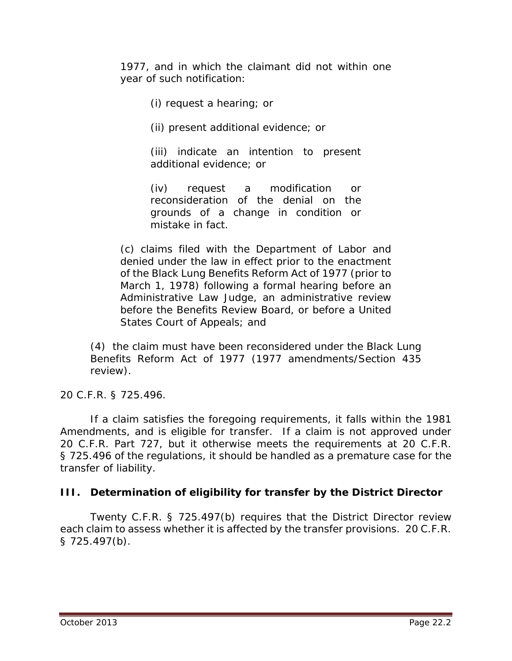1977, and in which the claimant did not within one year of such notification:

(i) request a hearing; or

(ii) present additional evidence; or

(iii) indicate an intention to present additional evidence; or

(iv) request a modification or reconsideration of the denial on the grounds of a change in condition or mistake in fact.

(c) claims filed with the Department of Labor and denied under the law in effect prior to the enactment of the Black Lung Benefits Reform Act of 1977 (prior to March 1, 1978) following a formal hearing before an Administrative Law Judge, an administrative review before the Benefits Review Board, or before a United States Court of Appeals; and

(4) the claim must have been reconsidered under the Black Lung Benefits Reform Act of 1977 (1977 amendments/Section 435 review).

20 C.F.R. § 725.496.

If a claim satisfies the foregoing requirements, it falls within the 1981 Amendments, and is eligible for transfer. If a claim is not approved under 20 C.F.R. Part 727, but it otherwise meets the requirements at 20 C.F.R. § 725.496 of the regulations, it should be handled as a premature case for the transfer of liability.

#### **III. Determination of eligibility for transfer by the District Director**

Twenty C.F.R. § 725.497(b) requires that the District Director review each claim to assess whether it is affected by the transfer provisions. 20 C.F.R. § 725.497(b).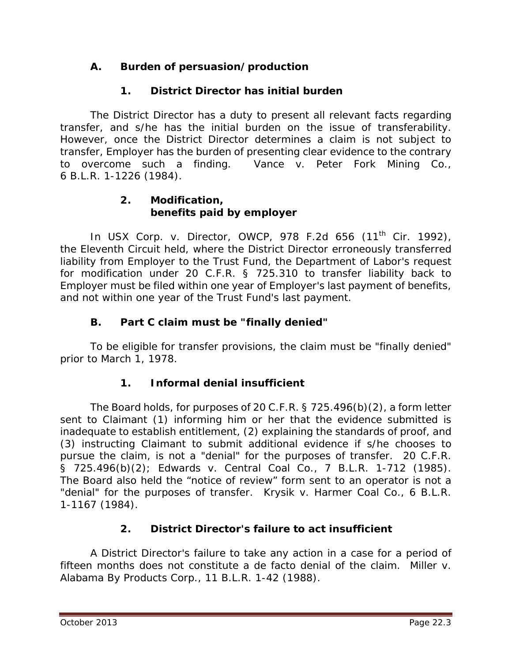# **A. Burden of persuasion/production**

# **1. District Director has initial burden**

The District Director has a duty to present all relevant facts regarding transfer, and s/he has the initial burden on the issue of transferability. However, once the District Director determines a claim is not subject to transfer, Employer has the burden of presenting clear evidence to the contrary to overcome such a finding. *Vance v. Peter Fork Mining Co.*, 6 B.L.R. 1-1226 (1984).

#### **2. Modification, benefits paid by employer**

In *USX Corp. v. Director, OWCP*, 978 F.2d 656 (11<sup>th</sup> Cir. 1992), the Eleventh Circuit held, where the District Director erroneously transferred liability from Employer to the Trust Fund, the Department of Labor's request for modification under 20 C.F.R. § 725.310 to transfer liability back to Employer must be filed within one year of Employer's last payment of benefits, and not within one year of the Trust Fund's last payment.

## **B. Part C claim must be "finally denied"**

To be eligible for transfer provisions, the claim must be "finally denied" prior to March 1, 1978.

## **1. Informal denial insufficient**

The Board holds, for purposes of 20 C.F.R. § 725.496(b)(2), a form letter sent to Claimant (1) informing him or her that the evidence submitted is inadequate to establish entitlement, (2) explaining the standards of proof, and (3) instructing Claimant to submit additional evidence if s/he chooses to pursue the claim, is not a "denial" for the purposes of transfer. 20 C.F.R. § 725.496(b)(2); *Edwards v. Central Coal Co.*, 7 B.L.R. 1-712 (1985). The Board also held the "notice of review" form sent to an operator is not a "denial" for the purposes of transfer. *Krysik v. Harmer Coal Co.*, 6 B.L.R. 1-1167 (1984).

## **2. District Director's failure to act insufficient**

A District Director's failure to take any action in a case for a period of fifteen months does not constitute a *de facto* denial of the claim. *Miller v. Alabama By Products Corp.*, 11 B.L.R. 1-42 (1988).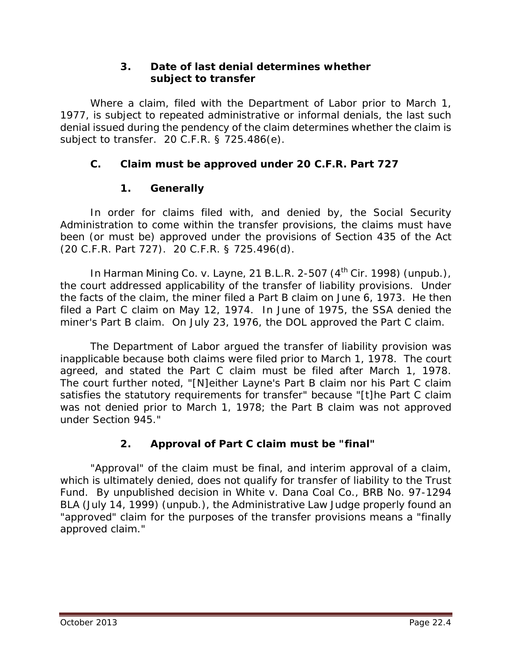## **3. Date of last denial determines whether subject to transfer**

Where a claim, filed with the Department of Labor prior to March 1, 1977, is subject to repeated administrative or informal denials, the last such denial issued during the pendency of the claim determines whether the claim is subject to transfer. 20 C.F.R. § 725.486(e).

# **C. Claim must be approved under 20 C.F.R. Part 727**

## **1. Generally**

In order for claims filed with, and denied by, the Social Security Administration to come within the transfer provisions, the claims must have been (or must be) approved under the provisions of Section 435 of the Act (20 C.F.R. Part 727). 20 C.F.R. § 725.496(d).

In *Harman Mining Co. v. Layne*, 21 B.L.R. 2-507 (4<sup>th</sup> Cir. 1998) (unpub.), the court addressed applicability of the transfer of liability provisions. Under the facts of the claim, the miner filed a Part B claim on June 6, 1973. He then filed a Part C claim on May 12, 1974. In June of 1975, the SSA denied the miner's Part B claim. On July 23, 1976, the DOL approved the Part C claim.

The Department of Labor argued the transfer of liability provision was inapplicable because both claims were filed prior to March 1, 1978. The court agreed, and stated the Part C claim must be filed after March 1, 1978. The court further noted, "[N]either Layne's Part B claim nor his Part C claim satisfies the statutory requirements for transfer" because "[t]he Part C claim was not denied prior to March 1, 1978; the Part B claim was not approved under Section 945."

# **2. Approval of Part C claim must be "final"**

"Approval" of the claim must be final, and interim approval of a claim, which is ultimately denied, does not qualify for transfer of liability to the Trust Fund. By unpublished decision in *White v. Dana Coal Co.*, BRB No. 97-1294 BLA (July 14, 1999) (unpub.), the Administrative Law Judge properly found an "approved" claim for the purposes of the transfer provisions means a "finally approved claim."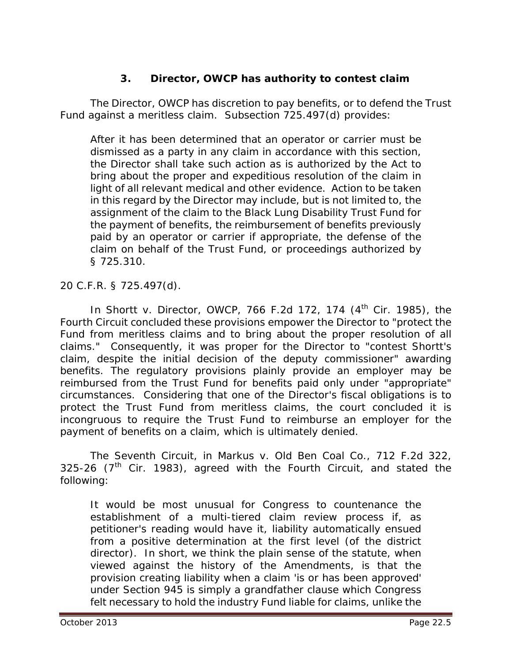## **3. Director, OWCP has authority to contest claim**

The Director, OWCP has discretion to pay benefits, or to defend the Trust Fund against a meritless claim. Subsection 725.497(d) provides:

After it has been determined that an operator or carrier must be dismissed as a party in any claim in accordance with this section, the Director shall take such action as is authorized by the Act to bring about the proper and expeditious resolution of the claim in light of all relevant medical and other evidence. Action to be taken in this regard by the Director may include, but is not limited to, the assignment of the claim to the Black Lung Disability Trust Fund for the payment of benefits, the reimbursement of benefits previously paid by an operator or carrier if appropriate, the defense of the claim on behalf of the Trust Fund, or proceedings authorized by § 725.310.

20 C.F.R. § 725.497(d).

In *Shortt v. Director, OWCP*, 766 F.2d 172, 174 (4<sup>th</sup> Cir. 1985), the Fourth Circuit concluded these provisions empower the Director to "protect the Fund from meritless claims and to bring about the proper resolution of all claims." Consequently, it was proper for the Director to "contest Shortt's claim, despite the initial decision of the deputy commissioner" awarding benefits. The regulatory provisions plainly provide an employer may be reimbursed from the Trust Fund for benefits paid only under "appropriate" circumstances. Considering that one of the Director's fiscal obligations is to protect the Trust Fund from meritless claims, the court concluded it is incongruous to require the Trust Fund to reimburse an employer for the payment of benefits on a claim, which is ultimately denied.

The Seventh Circuit, in *Markus v. Old Ben Coal Co.*, 712 F.2d 322, 325-26 ( $7<sup>th</sup>$  Cir. 1983), agreed with the Fourth Circuit, and stated the following:

It would be most unusual for Congress to countenance the establishment of a multi-tiered claim review process if, as petitioner's reading would have it, liability automatically ensued from a positive determination at the first level (of the district director). In short, we think the plain sense of the statute, when viewed against the history of the Amendments, is that the provision creating liability when a claim 'is or has been approved' under Section 945 is simply a grandfather clause which Congress felt necessary to hold the industry Fund liable for claims, unlike the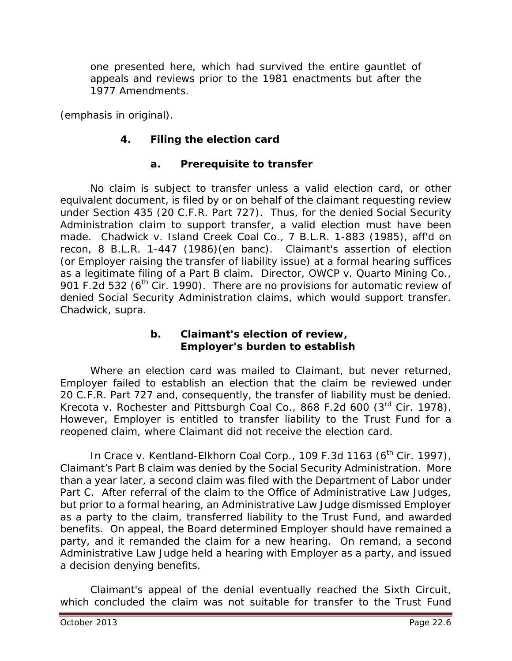one presented here, which *had* survived the *entire* gauntlet of appeals and reviews prior to the 1981 enactments but after the 1977 Amendments.

(emphasis in original).

# **4. Filing the election card**

## **a. Prerequisite to transfer**

No claim is subject to transfer unless a valid election card, or other equivalent document, is filed by or on behalf of the claimant requesting review under Section 435 (20 C.F.R. Part 727). Thus, for the denied Social Security Administration claim to support transfer, a valid election must have been made. *Chadwick v. Island Creek Coal Co.*, 7 B.L.R. 1-883 (1985), *aff'd on recon*, 8 B.L.R. 1-447 (1986)(en banc). Claimant's assertion of election (or Employer raising the transfer of liability issue) at a formal hearing suffices as a legitimate filing of a Part B claim. *Director, OWCP v. Quarto Mining Co.*, 901 F.2d 532 ( $6<sup>th</sup>$  Cir. 1990). There are no provisions for automatic review of denied Social Security Administration claims, which would support transfer. *Chadwick*, *supra*.

#### **b. Claimant's election of review, Employer's burden to establish**

Where an election card was mailed to Claimant, but never returned, Employer failed to establish an election that the claim be reviewed under 20 C.F.R. Part 727 and, consequently, the transfer of liability must be denied. *Krecota v. Rochester and Pittsburgh Coal Co.*, 868 F.2d 600 (3rd Cir. 1978). However, Employer is entitled to transfer liability to the Trust Fund for a reopened claim, where Claimant did not receive the election card.

In *Crace v. Kentland-Elkhorn Coal Corp.*, 109 F.3d 1163 (6<sup>th</sup> Cir. 1997), Claimant's Part B claim was denied by the Social Security Administration. More than a year later, a second claim was filed with the Department of Labor under Part C. After referral of the claim to the Office of Administrative Law Judges, but prior to a formal hearing, an Administrative Law Judge dismissed Employer as a party to the claim, transferred liability to the Trust Fund, and awarded benefits. On appeal, the Board determined Employer should have remained a party, and it remanded the claim for a new hearing. On remand, a second Administrative Law Judge held a hearing with Employer as a party, and issued a decision denying benefits.

Claimant's appeal of the denial eventually reached the Sixth Circuit, which concluded the claim was not suitable for transfer to the Trust Fund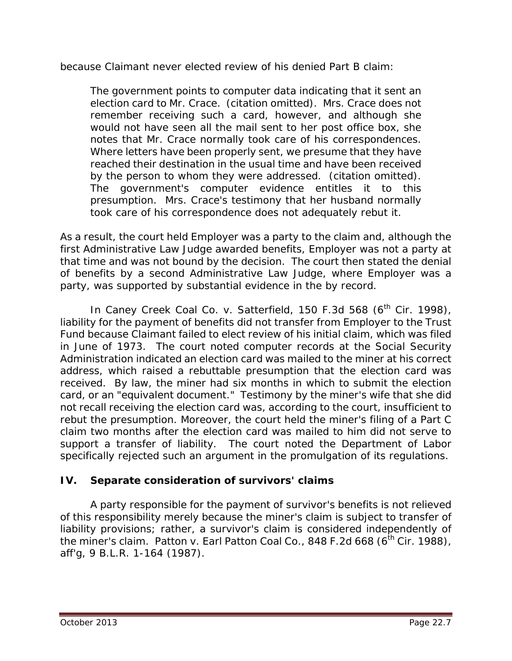because Claimant never elected review of his denied Part B claim:

The government points to computer data indicating that it sent an election card to Mr. Crace. (citation omitted). Mrs. Crace does not remember receiving such a card, however, and although she would not have seen all the mail sent to her post office box, she notes that Mr. Crace normally took care of his correspondences. Where letters have been properly sent, we presume that they have reached their destination in the usual time and have been received by the person to whom they were addressed. (citation omitted). The government's computer evidence entitles it to this presumption. Mrs. Crace's testimony that her husband normally took care of his correspondence does not adequately rebut it.

As a result, the court held Employer was a party to the claim and, although the first Administrative Law Judge awarded benefits, Employer was not a party at that time and was not bound by the decision. The court then stated the denial of benefits by a second Administrative Law Judge, where Employer was a party, was supported by substantial evidence in the by record.

In *Caney Creek Coal Co. v. Satterfield*, 150 F.3d 568 (6<sup>th</sup> Cir. 1998), liability for the payment of benefits did not transfer from Employer to the Trust Fund because Claimant failed to elect review of his initial claim, which was filed in June of 1973. The court noted computer records at the Social Security Administration indicated an election card was mailed to the miner at his correct address, which raised a rebuttable presumption that the election card was received. By law, the miner had six months in which to submit the election card, or an "equivalent document." Testimony by the miner's wife that she did not recall receiving the election card was, according to the court, insufficient to rebut the presumption. Moreover, the court held the miner's filing of a Part C claim two months after the election card was mailed to him did not serve to support a transfer of liability. The court noted the Department of Labor specifically rejected such an argument in the promulgation of its regulations.

## **IV. Separate consideration of survivors' claims**

A party responsible for the payment of survivor's benefits is not relieved of this responsibility merely because the miner's claim is subject to transfer of liability provisions; rather, a survivor's claim is considered independently of the miner's claim. *Patton v. Earl Patton Coal Co.*, 848 F.2d 668 (6<sup>th</sup> Cir. 1988), *aff'g*, 9 B.L.R. 1-164 (1987).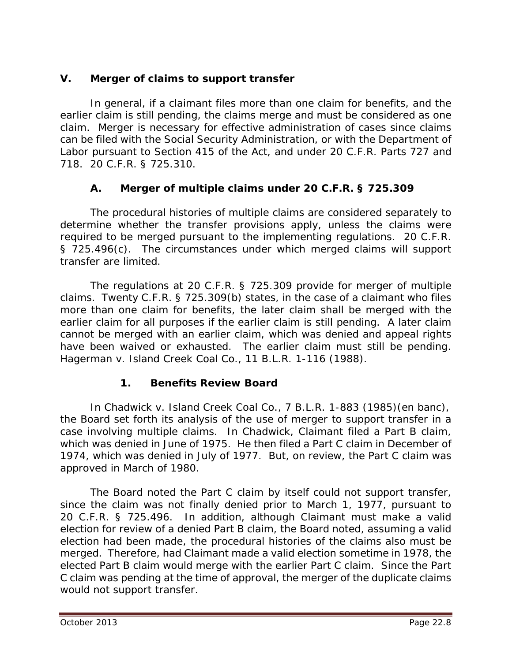# **V. Merger of claims to support transfer**

In general, if a claimant files more than one claim for benefits, and the earlier claim is still pending, the claims merge and must be considered as one claim. Merger is necessary for effective administration of cases since claims can be filed with the Social Security Administration, or with the Department of Labor pursuant to Section 415 of the Act, and under 20 C.F.R. Parts 727 and 718. 20 C.F.R. § 725.310.

# **A. Merger of multiple claims under 20 C.F.R. § 725.309**

The procedural histories of multiple claims are considered separately to determine whether the transfer provisions apply, unless the claims were required to be merged pursuant to the implementing regulations. 20 C.F.R. § 725.496(c). The circumstances under which merged claims will support transfer are limited.

The regulations at 20 C.F.R. § 725.309 provide for merger of multiple claims. Twenty C.F.R. § 725.309(b) states, in the case of a claimant who files more than one claim for benefits, the later claim shall be merged with the earlier claim for all purposes if the earlier claim is still pending. A later claim cannot be merged with an earlier claim, which was denied and appeal rights have been waived or exhausted. The earlier claim must still be pending. *Hagerman v. Island Creek Coal Co.*, 11 B.L.R. 1-116 (1988).

# **1. Benefits Review Board**

In *Chadwick v. Island Creek Coal Co.*, 7 B.L.R. 1-883 (1985)(en banc), the Board set forth its analysis of the use of merger to support transfer in a case involving multiple claims. In *Chadwick*, Claimant filed a Part B claim, which was denied in June of 1975. He then filed a Part C claim in December of 1974, which was denied in July of 1977. But, on review, the Part C claim was approved in March of 1980.

The Board noted the Part C claim by itself could not support transfer, since the claim was not finally denied prior to March 1, 1977, pursuant to 20 C.F.R. § 725.496. In addition, although Claimant must make a valid election for review of a denied Part B claim, the Board noted, assuming a valid election had been made, the procedural histories of the claims also must be merged. Therefore, had Claimant made a valid election sometime in 1978, the elected Part B claim would merge with the earlier Part C claim. Since the Part C claim was pending at the time of approval, the merger of the duplicate claims would not support transfer.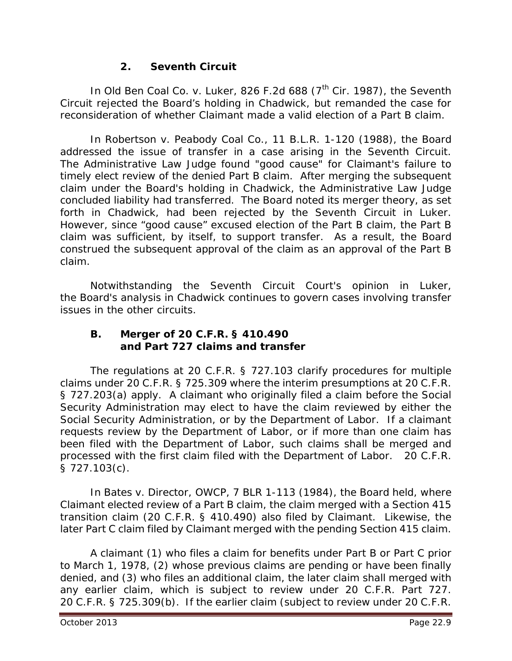# **2. Seventh Circuit**

In *Old Ben Coal Co. v. Luker*, 826 F.2d 688 (7<sup>th</sup> Cir. 1987), the Seventh Circuit rejected the Board's holding in *Chadwick*, but remanded the case for reconsideration of whether Claimant made a valid election of a Part B claim.

In *Robertson v. Peabody Coal Co.*, 11 B.L.R. 1-120 (1988), the Board addressed the issue of transfer in a case arising in the Seventh Circuit. The Administrative Law Judge found "good cause" for Claimant's failure to timely elect review of the denied Part B claim. After merging the subsequent claim under the Board's holding in *Chadwick*, the Administrative Law Judge concluded liability had transferred. The Board noted its merger theory, as set forth in *Chadwick,* had been rejected by the Seventh Circuit in *Luker*. However, since "good cause" excused election of the Part B claim, the Part B claim was sufficient, by itself, to support transfer. As a result, the Board construed the subsequent approval of the claim as an approval of the Part B claim.

Notwithstanding the Seventh Circuit Court's opinion in *Luker*, the Board's analysis in *Chadwick* continues to govern cases involving transfer issues in the other circuits.

#### **B. Merger of 20 C.F.R. § 410.490 and Part 727 claims and transfer**

The regulations at 20 C.F.R. § 727.103 clarify procedures for multiple claims under 20 C.F.R. § 725.309 where the interim presumptions at 20 C.F.R. § 727.203(a) apply. A claimant who originally filed a claim before the Social Security Administration may elect to have the claim reviewed by either the Social Security Administration, or by the Department of Labor. If a claimant requests review by the Department of Labor, or if more than one claim has been filed with the Department of Labor, such claims shall be merged and processed with the first claim filed with the Department of Labor. 20 C.F.R. § 727.103(c).

In *Bates v. Director, OWCP*, 7 BLR 1-113 (1984), the Board held, where Claimant elected review of a Part B claim, the claim merged with a Section 415 transition claim (20 C.F.R. § 410.490) also filed by Claimant. Likewise, the later Part C claim filed by Claimant merged with the pending Section 415 claim.

A claimant (1) who files a claim for benefits under Part B or Part C prior to March 1, 1978, (2) whose previous claims are pending or have been finally denied, and (3) who files an additional claim, the later claim shall merged with any earlier claim, which is subject to review under 20 C.F.R. Part 727. 20 C.F.R. § 725.309(b). If the earlier claim (subject to review under 20 C.F.R.